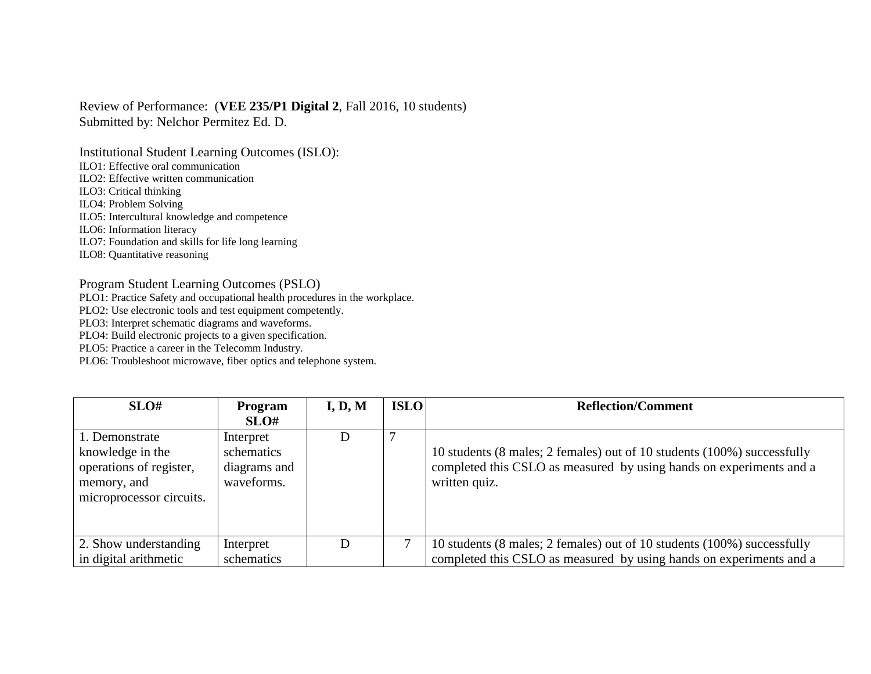Review of Performance: (**VEE 235/P1 Digital 2**, Fall 2016, 10 students) Submitted by: Nelchor Permitez Ed. D.

Institutional Student Learning Outcomes (ISLO):

ILO1: Effective oral communication

ILO2: Effective written communication

ILO3: Critical thinking

ILO4: Problem Solving

ILO5: Intercultural knowledge and competence

ILO6: Information literacy

ILO7: Foundation and skills for life long learning

ILO8: Quantitative reasoning

## Program Student Learning Outcomes (PSLO)

PLO1: Practice Safety and occupational health procedures in the workplace.

PLO2: Use electronic tools and test equipment competently.

PLO3: Interpret schematic diagrams and waveforms.

PLO4: Build electronic projects to a given specification.

PLO5: Practice a career in the Telecomm Industry.

PLO6: Troubleshoot microwave, fiber optics and telephone system.

| SLO#                     | Program      | I, D, M | <b>ISLO</b> | <b>Reflection/Comment</b>                                               |
|--------------------------|--------------|---------|-------------|-------------------------------------------------------------------------|
|                          | SLO#         |         |             |                                                                         |
| 1. Demonstrate           | Interpret    | D       |             |                                                                         |
| knowledge in the         | schematics   |         |             | 10 students (8 males; 2 females) out of 10 students (100%) successfully |
| operations of register,  | diagrams and |         |             | completed this CSLO as measured by using hands on experiments and a     |
| memory, and              | waveforms.   |         |             | written quiz.                                                           |
| microprocessor circuits. |              |         |             |                                                                         |
|                          |              |         |             |                                                                         |
|                          |              |         |             |                                                                         |
| 2. Show understanding    | Interpret    | D       |             | 10 students (8 males; 2 females) out of 10 students (100%) successfully |
| in digital arithmetic    | schematics   |         |             | completed this CSLO as measured by using hands on experiments and a     |